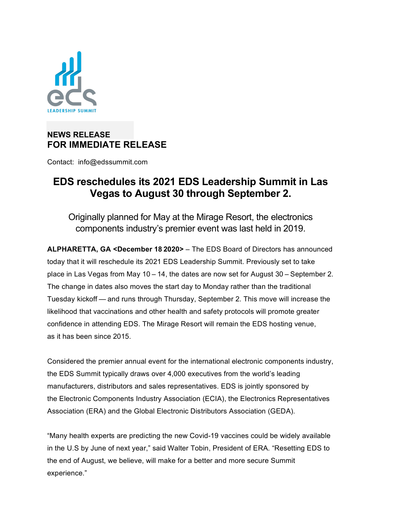

## **NEWS RELEASE FOR IMMEDIATE RELEASE**

Contact: info@edssummit.com

## **EDS reschedules its 2021 EDS Leadership Summit in Las Vegas to August 30 through September 2.**

Originally planned for May at the Mirage Resort, the electronics components industry's premier event was last held in 2019.

**ALPHARETTA, GA <December 18 2020>** – The EDS Board of Directors has announced today that it will reschedule its 2021 EDS Leadership Summit. Previously set to take place in Las Vegas from May 10 – 14, the dates are now set for August 30 – September 2. The change in dates also moves the start day to Monday rather than the traditional Tuesday kickoff — and runs through Thursday, September 2. This move will increase the likelihood that vaccinations and other health and safety protocols will promote greater confidence in attending EDS. The Mirage Resort will remain the EDS hosting venue, as it has been since 2015.

Considered the premier annual event for the international electronic components industry, the EDS Summit typically draws over 4,000 executives from the world's leading manufacturers, distributors and sales representatives. EDS is jointly sponsored by the Electronic Components Industry Association (ECIA), the Electronics Representatives Association (ERA) and the Global Electronic Distributors Association (GEDA).

"Many health experts are predicting the new Covid-19 vaccines could be widely available in the U.S by June of next year," said Walter Tobin, President of ERA. "Resetting EDS to the end of August, we believe, will make for a better and more secure Summit experience."